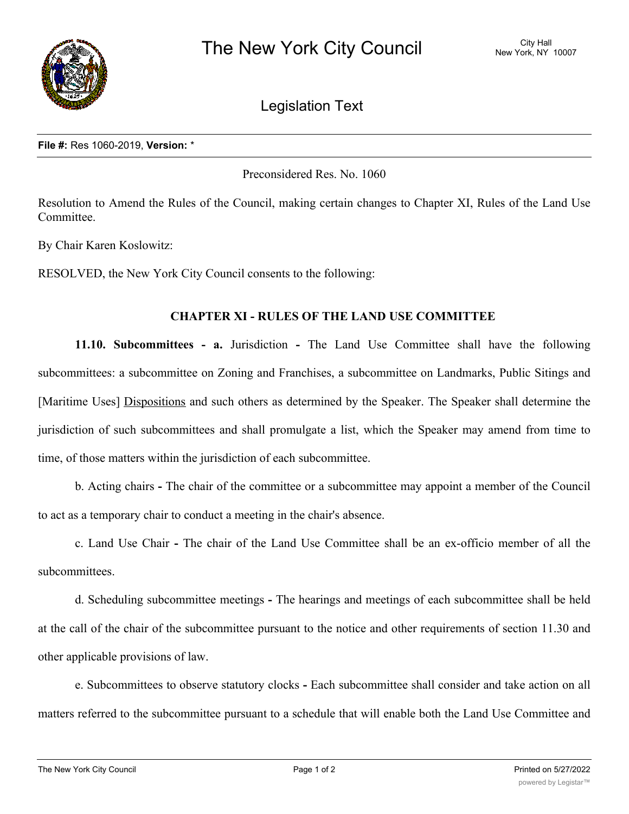

Legislation Text

## **File #:** Res 1060-2019, **Version:** \*

Preconsidered Res. No. 1060

Resolution to Amend the Rules of the Council, making certain changes to Chapter XI, Rules of the Land Use Committee.

By Chair Karen Koslowitz:

RESOLVED, the New York City Council consents to the following:

## **CHAPTER XI - RULES OF THE LAND USE COMMITTEE**

**11.10. Subcommittees - a.** Jurisdiction **-** The Land Use Committee shall have the following subcommittees: a subcommittee on Zoning and Franchises, a subcommittee on Landmarks, Public Sitings and [Maritime Uses] Dispositions and such others as determined by the Speaker. The Speaker shall determine the jurisdiction of such subcommittees and shall promulgate a list, which the Speaker may amend from time to time, of those matters within the jurisdiction of each subcommittee.

b. Acting chairs **-** The chair of the committee or a subcommittee may appoint a member of the Council to act as a temporary chair to conduct a meeting in the chair's absence.

c. Land Use Chair **-** The chair of the Land Use Committee shall be an ex-officio member of all the subcommittees.

d. Scheduling subcommittee meetings **-** The hearings and meetings of each subcommittee shall be held at the call of the chair of the subcommittee pursuant to the notice and other requirements of section 11.30 and other applicable provisions of law.

e. Subcommittees to observe statutory clocks **-** Each subcommittee shall consider and take action on all matters referred to the subcommittee pursuant to a schedule that will enable both the Land Use Committee and